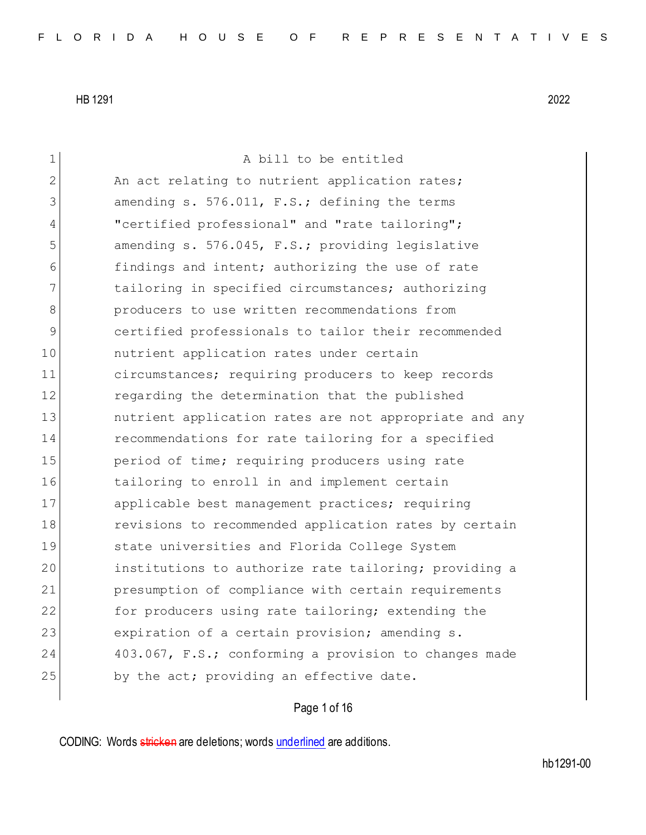| $\mathbf 1$    | A bill to be entitled                                  |
|----------------|--------------------------------------------------------|
| $\overline{2}$ | An act relating to nutrient application rates;         |
| 3              | amending s. 576.011, F.S.; defining the terms          |
| 4              | "certified professional" and "rate tailoring";         |
| 5              | amending s. 576.045, F.S.; providing legislative       |
| 6              | findings and intent; authorizing the use of rate       |
| 7              | tailoring in specified circumstances; authorizing      |
| 8              | producers to use written recommendations from          |
| 9              | certified professionals to tailor their recommended    |
| 10             | nutrient application rates under certain               |
| 11             | circumstances; requiring producers to keep records     |
| 12             | regarding the determination that the published         |
| 13             | nutrient application rates are not appropriate and any |
| 14             | recommendations for rate tailoring for a specified     |
| 15             | period of time; requiring producers using rate         |
| 16             | tailoring to enroll in and implement certain           |
| 17             | applicable best management practices; requiring        |
| 18             | revisions to recommended application rates by certain  |
| 19             | state universities and Florida College System          |
| 20             | institutions to authorize rate tailoring; providing a  |
| 21             | presumption of compliance with certain requirements    |
| 22             | for producers using rate tailoring; extending the      |
| 23             | expiration of a certain provision; amending s.         |
| 24             | 403.067, F.S.; conforming a provision to changes made  |
| 25             | by the act; providing an effective date.               |
|                |                                                        |

# Page 1 of 16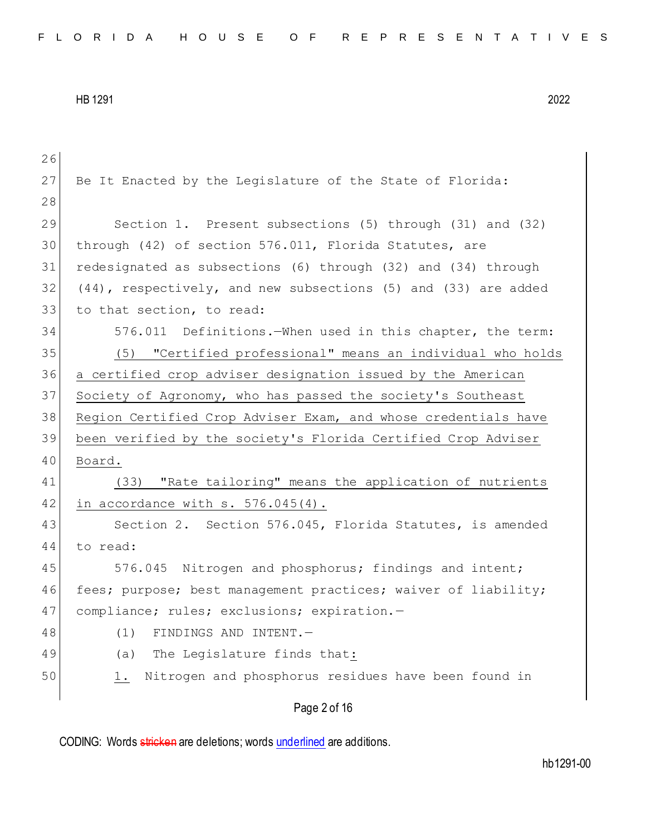| 26 |                                                                |
|----|----------------------------------------------------------------|
| 27 | Be It Enacted by the Leqislature of the State of Florida:      |
| 28 |                                                                |
| 29 | Section 1. Present subsections (5) through (31) and (32)       |
| 30 | through (42) of section 576.011, Florida Statutes, are         |
| 31 | redesignated as subsections (6) through (32) and (34) through  |
| 32 | (44), respectively, and new subsections (5) and (33) are added |
| 33 | to that section, to read:                                      |
| 34 | 576.011 Definitions. When used in this chapter, the term:      |
| 35 | "Certified professional" means an individual who holds<br>(5)  |
| 36 | a certified crop adviser designation issued by the American    |
| 37 | Society of Agronomy, who has passed the society's Southeast    |
| 38 | Region Certified Crop Adviser Exam, and whose credentials have |
| 39 | been verified by the society's Florida Certified Crop Adviser  |
| 40 | Board.                                                         |
| 41 | (33) "Rate tailoring" means the application of nutrients       |
| 42 | in accordance with $s. 576.045(4)$ .                           |
| 43 | Section 2. Section 576.045, Florida Statutes, is amended       |
| 44 | to read:                                                       |
| 45 | 576.045 Nitrogen and phosphorus; findings and intent;          |
| 46 | fees; purpose; best management practices; waiver of liability; |
| 47 | compliance; rules; exclusions; expiration.-                    |
| 48 | (1)<br>FINDINGS AND INTENT.-                                   |
| 49 | The Legislature finds that:<br>(a)                             |
| 50 | Nitrogen and phosphorus residues have been found in<br>1.      |
|    | Page 2 of 16                                                   |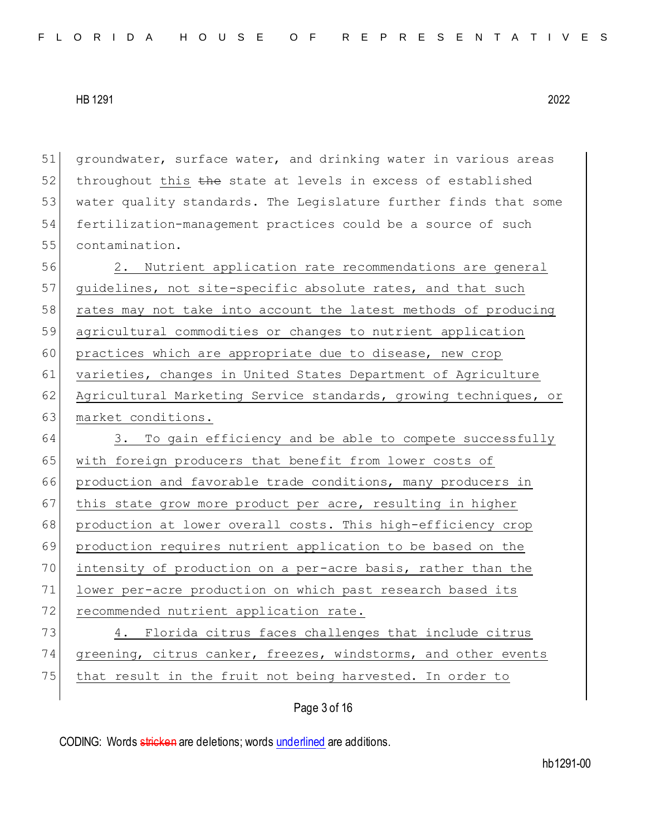51 groundwater, surface water, and drinking water in various areas  $52$  throughout this the state at levels in excess of established 53 water quality standards. The Legislature further finds that some 54 fertilization-management practices could be a source of such 55 contamination.

56 2. Nutrient application rate recommendations are general 57 quidelines, not site-specific absolute rates, and that such 58 rates may not take into account the latest methods of producing 59 agricultural commodities or changes to nutrient application 60 practices which are appropriate due to disease, new crop 61 varieties, changes in United States Department of Agriculture 62 Agricultural Marketing Service standards, growing techniques, or 63 market conditions.

64 3. To gain efficiency and be able to compete successfully 65 with foreign producers that benefit from lower costs of 66 production and favorable trade conditions, many producers in 67 this state grow more product per acre, resulting in higher 68 production at lower overall costs. This high-efficiency crop 69 production requires nutrient application to be based on the 70 intensity of production on a per-acre basis, rather than the 71 lower per-acre production on which past research based its 72 recommended nutrient application rate. 73 4. Florida citrus faces challenges that include citrus 74 greening, citrus canker, freezes, windstorms, and other events

75 that result in the fruit not being harvested. In order to

Page 3 of 16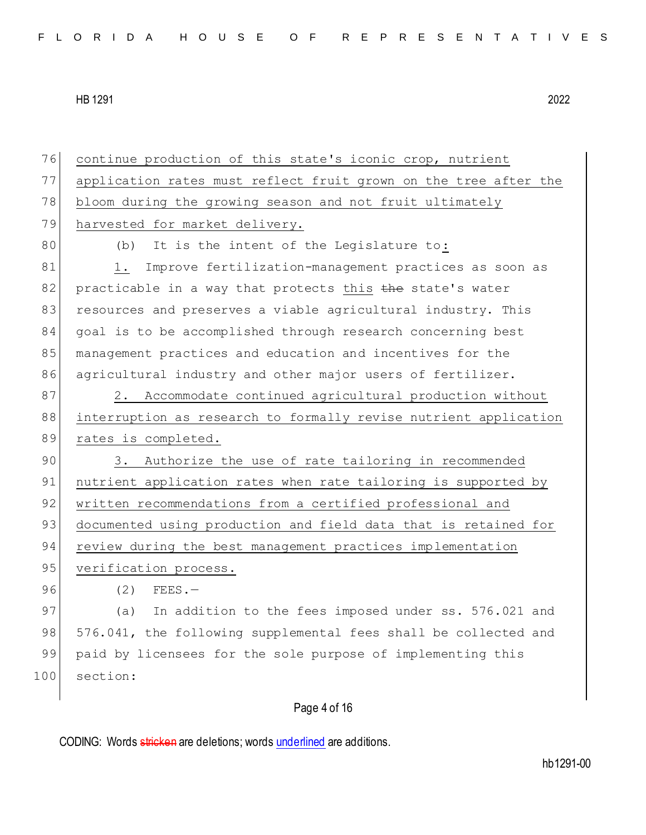76 continue production of this state's iconic crop, nutrient 77 application rates must reflect fruit grown on the tree after the 78 bloom during the growing season and not fruit ultimately 79 harvested for market delivery. 80 (b) It is the intent of the Legislature to: 81 1. Improve fertilization-management practices as soon as  $82$  practicable in a way that protects this the state's water 83 resources and preserves a viable agricultural industry. This 84 goal is to be accomplished through research concerning best 85 management practices and education and incentives for the 86 agricultural industry and other major users of fertilizer. 87 2. Accommodate continued agricultural production without 88 interruption as research to formally revise nutrient application 89 rates is completed. 90 3. Authorize the use of rate tailoring in recommended 91 nutrient application rates when rate tailoring is supported by 92 written recommendations from a certified professional and 93 documented using production and field data that is retained for 94 review during the best management practices implementation 95 verification process. 96 (2) FEES. 97 (a) In addition to the fees imposed under ss. 576.021 and 98 576.041, the following supplemental fees shall be collected and 99 paid by licensees for the sole purpose of implementing this 100 section:

# Page 4 of 16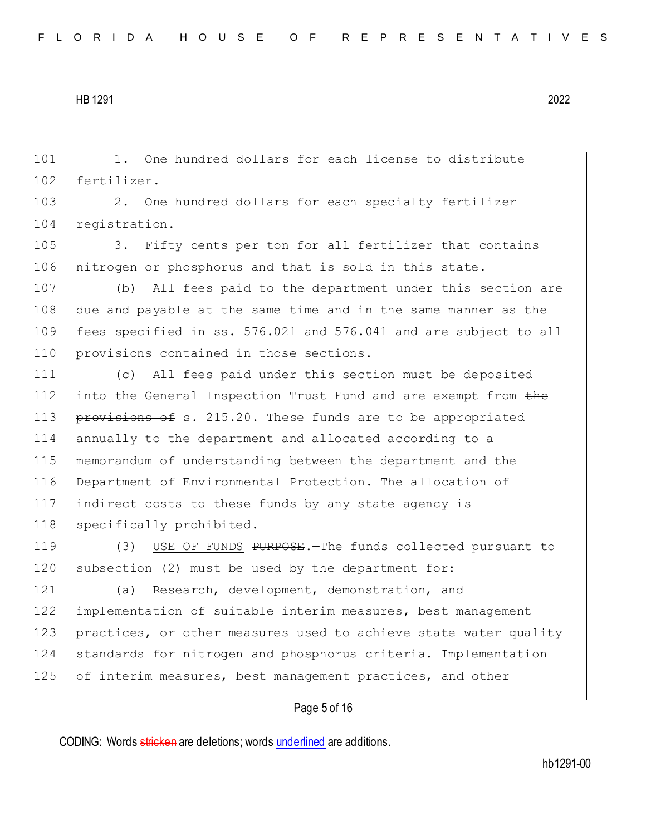101 1. One hundred dollars for each license to distribute 102 fertilizer.

103 2. One hundred dollars for each specialty fertilizer 104 registration.

105 3. Fifty cents per ton for all fertilizer that contains 106 nitrogen or phosphorus and that is sold in this state.

 (b) All fees paid to the department under this section are due and payable at the same time and in the same manner as the fees specified in ss. 576.021 and 576.041 and are subject to all 110 provisions contained in those sections.

 (c) All fees paid under this section must be deposited 112 into the General Inspection Trust Fund and are exempt from the 113 provisions of s. 215.20. These funds are to be appropriated annually to the department and allocated according to a memorandum of understanding between the department and the Department of Environmental Protection. The allocation of indirect costs to these funds by any state agency is 118 specifically prohibited.

119 (3) USE OF FUNDS PURPOSE. The funds collected pursuant to 120 subsection (2) must be used by the department for:

121 (a) Research, development, demonstration, and 122 implementation of suitable interim measures, best management 123 practices, or other measures used to achieve state water quality 124 standards for nitrogen and phosphorus criteria. Implementation 125 of interim measures, best management practices, and other

#### Page 5 of 16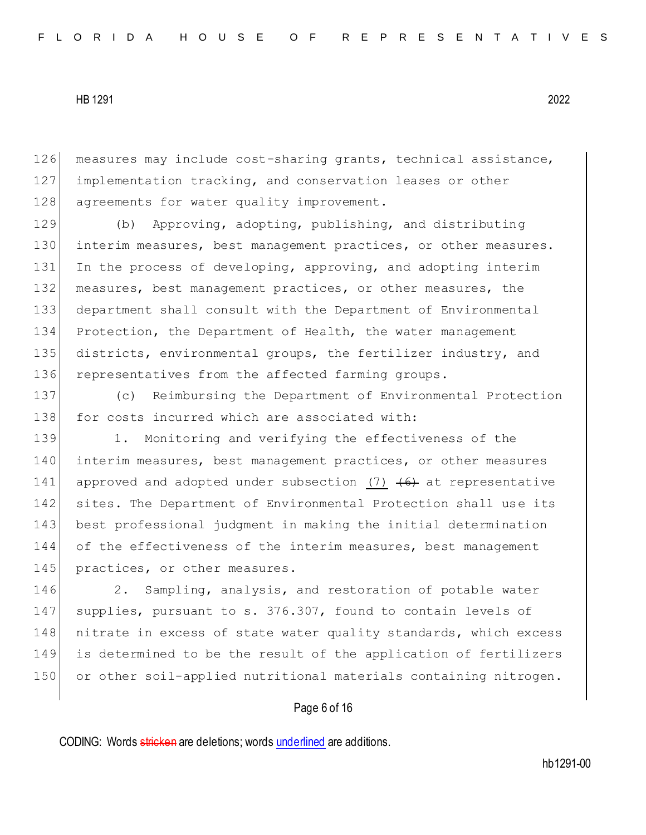126 measures may include cost-sharing grants, technical assistance, 127 implementation tracking, and conservation leases or other 128 agreements for water quality improvement.

129 (b) Approving, adopting, publishing, and distributing 130 interim measures, best management practices, or other measures. 131 In the process of developing, approving, and adopting interim 132 measures, best management practices, or other measures, the 133 department shall consult with the Department of Environmental 134 Protection, the Department of Health, the water management 135 districts, environmental groups, the fertilizer industry, and 136 representatives from the affected farming groups.

137 (c) Reimbursing the Department of Environmental Protection 138 for costs incurred which are associated with:

139 1. Monitoring and verifying the effectiveness of the 140 interim measures, best management practices, or other measures 141 approved and adopted under subsection (7)  $\left(6\right)$  at representative 142 sites. The Department of Environmental Protection shall use its 143 best professional judgment in making the initial determination 144 of the effectiveness of the interim measures, best management 145 practices, or other measures.

146 2. Sampling, analysis, and restoration of potable water 147 supplies, pursuant to s. 376.307, found to contain levels of 148 nitrate in excess of state water quality standards, which excess 149 is determined to be the result of the application of fertilizers 150 or other soil-applied nutritional materials containing nitrogen.

#### Page 6 of 16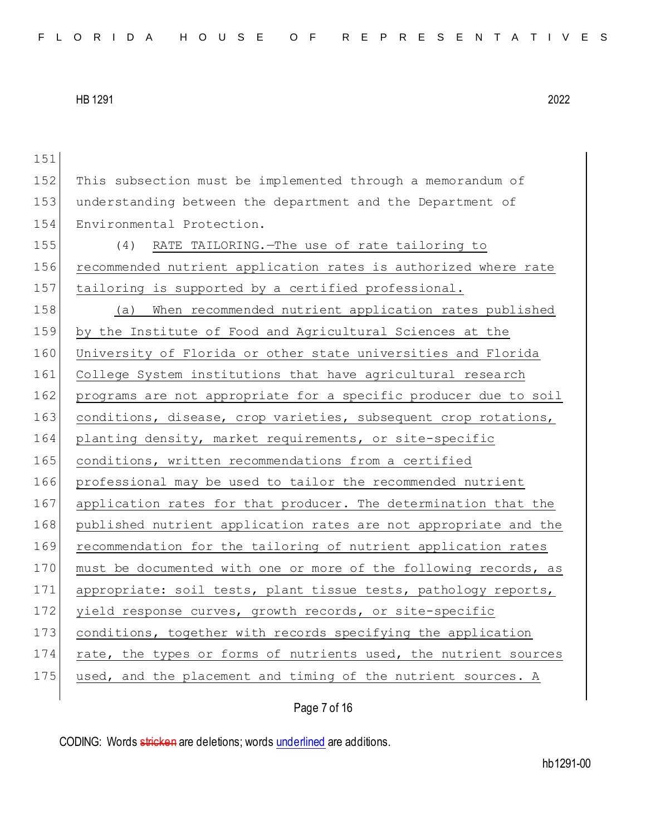| 151 |                                                                  |
|-----|------------------------------------------------------------------|
| 152 | This subsection must be implemented through a memorandum of      |
| 153 | understanding between the department and the Department of       |
| 154 | Environmental Protection.                                        |
| 155 | (4)<br>RATE TAILORING. - The use of rate tailoring to            |
| 156 | recommended nutrient application rates is authorized where rate  |
| 157 | tailoring is supported by a certified professional.              |
| 158 | When recommended nutrient application rates published<br>(a)     |
| 159 | by the Institute of Food and Agricultural Sciences at the        |
| 160 | University of Florida or other state universities and Florida    |
| 161 | College System institutions that have agricultural research      |
| 162 | programs are not appropriate for a specific producer due to soil |
| 163 | conditions, disease, crop varieties, subsequent crop rotations,  |
| 164 | planting density, market requirements, or site-specific          |
| 165 | conditions, written recommendations from a certified             |
| 166 | professional may be used to tailor the recommended nutrient      |
| 167 | application rates for that producer. The determination that the  |
| 168 | published nutrient application rates are not appropriate and the |
| 169 | recommendation for the tailoring of nutrient application rates   |
| 170 | must be documented with one or more of the following records, as |
| 171 | appropriate: soil tests, plant tissue tests, pathology reports,  |
| 172 | yield response curves, growth records, or site-specific          |
| 173 | conditions, together with records specifying the application     |
| 174 | rate, the types or forms of nutrients used, the nutrient sources |
| 175 | used, and the placement and timing of the nutrient sources. A    |
|     |                                                                  |

Page 7 of 16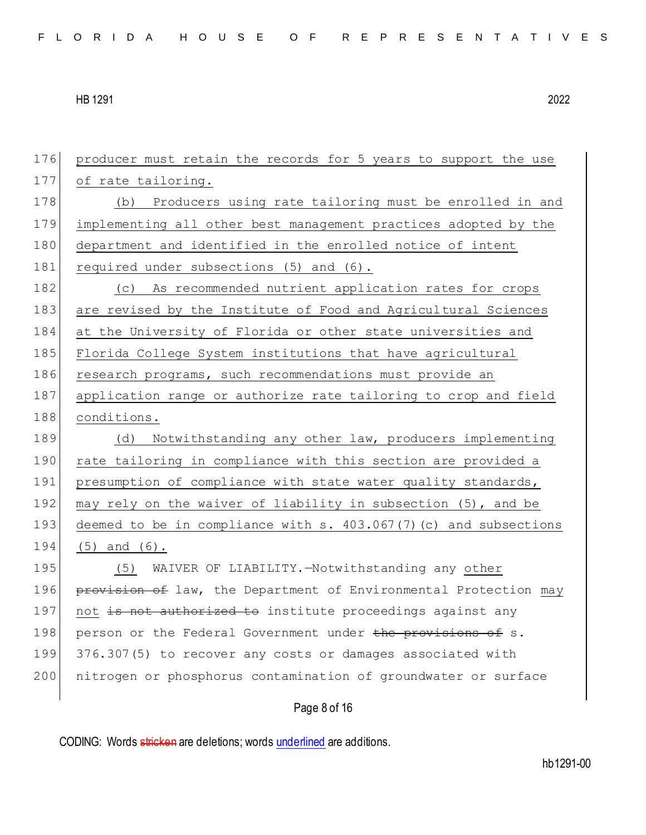Page 8 of 16 176 producer must retain the records for 5 years to support the use 177 of rate tailoring. 178 (b) Producers using rate tailoring must be enrolled in and 179 implementing all other best management practices adopted by the 180 department and identified in the enrolled notice of intent 181 required under subsections (5) and (6). 182 (c) As recommended nutrient application rates for crops 183 are revised by the Institute of Food and Agricultural Sciences 184 at the University of Florida or other state universities and 185 Florida College System institutions that have agricultural 186 research programs, such recommendations must provide an 187 application range or authorize rate tailoring to crop and field 188 conditions. 189 (d) Notwithstanding any other law, producers implementing 190 rate tailoring in compliance with this section are provided a 191 presumption of compliance with state water quality standards, 192 may rely on the waiver of liability in subsection (5), and be 193 deemed to be in compliance with s. 403.067(7)(c) and subsections 194 (5) and (6). 195 (5) WAIVER OF LIABILITY. Hotwithstanding any other 196 **provision of** law, the Department of Environmental Protection may 197 not is not authorized to institute proceedings against any 198 person or the Federal Government under the provisions of s. 199 376.307(5) to recover any costs or damages associated with 200 nitrogen or phosphorus contamination of groundwater or surface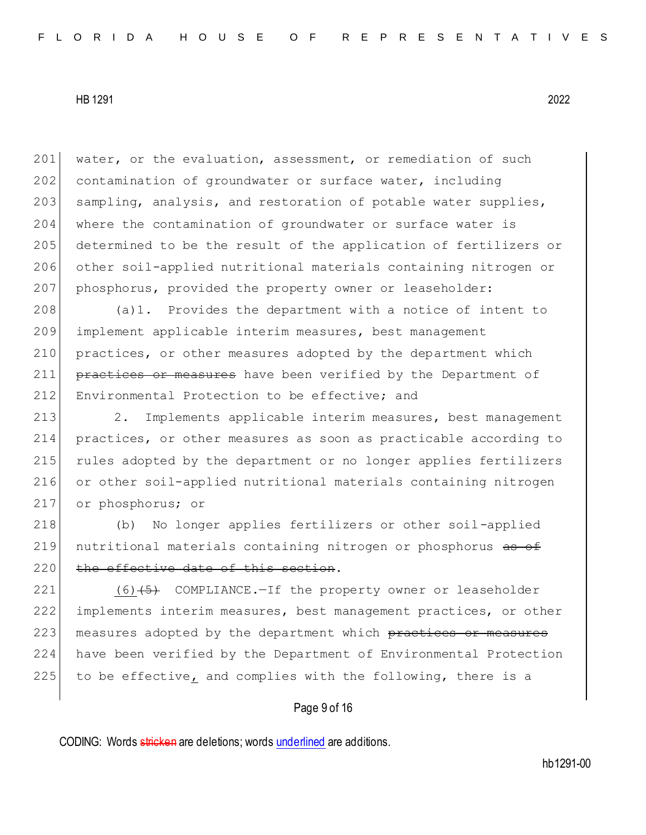201 water, or the evaluation, assessment, or remediation of such 202 contamination of groundwater or surface water, including 203 sampling, analysis, and restoration of potable water supplies, 204 where the contamination of groundwater or surface water is 205 determined to be the result of the application of fertilizers or 206 other soil-applied nutritional materials containing nitrogen or 207 phosphorus, provided the property owner or leaseholder:

208 (a)1. Provides the department with a notice of intent to 209 implement applicable interim measures, best management 210 practices, or other measures adopted by the department which 211 practices or measures have been verified by the Department of 212 Environmental Protection to be effective; and

213 2. Implements applicable interim measures, best management practices, or other measures as soon as practicable according to rules adopted by the department or no longer applies fertilizers or other soil-applied nutritional materials containing nitrogen or phosphorus; or

218 (b) No longer applies fertilizers or other soil-applied 219 nutritional materials containing nitrogen or phosphorus as of 220 the effective date of this section.

221 (6)(5) COMPLIANCE.-If the property owner or leaseholder 222 implements interim measures, best management practices, or other 223 measures adopted by the department which practices or measures 224 have been verified by the Department of Environmental Protection  $225$  to be effective, and complies with the following, there is a

#### Page 9 of 16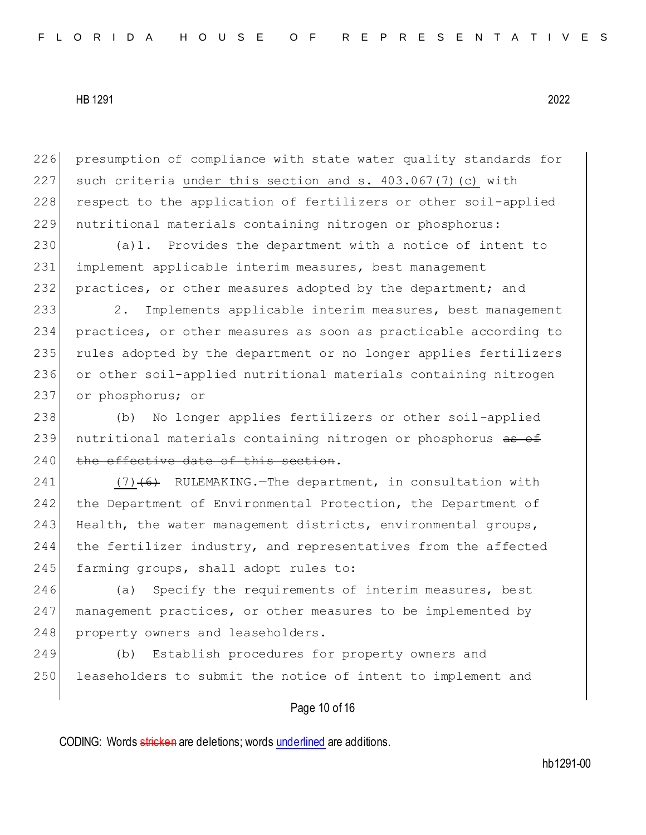226 presumption of compliance with state water quality standards for 227 such criteria under this section and s.  $403.067(7)(c)$  with 228 respect to the application of fertilizers or other soil-applied 229 nutritional materials containing nitrogen or phosphorus:

230 (a)1. Provides the department with a notice of intent to 231 implement applicable interim measures, best management 232 practices, or other measures adopted by the department; and

 2. Implements applicable interim measures, best management practices, or other measures as soon as practicable according to rules adopted by the department or no longer applies fertilizers or other soil-applied nutritional materials containing nitrogen or phosphorus; or

238 (b) No longer applies fertilizers or other soil-applied 239 nutritional materials containing nitrogen or phosphorus as of 240 the effective date of this section.

241  $(7)$  (6) RULEMAKING. The department, in consultation with 242 the Department of Environmental Protection, the Department of 243 Health, the water management districts, environmental groups, 244 the fertilizer industry, and representatives from the affected 245 farming groups, shall adopt rules to:

246 (a) Specify the requirements of interim measures, best 247 management practices, or other measures to be implemented by 248 property owners and leaseholders.

249 (b) Establish procedures for property owners and 250 leaseholders to submit the notice of intent to implement and

#### Page 10 of 16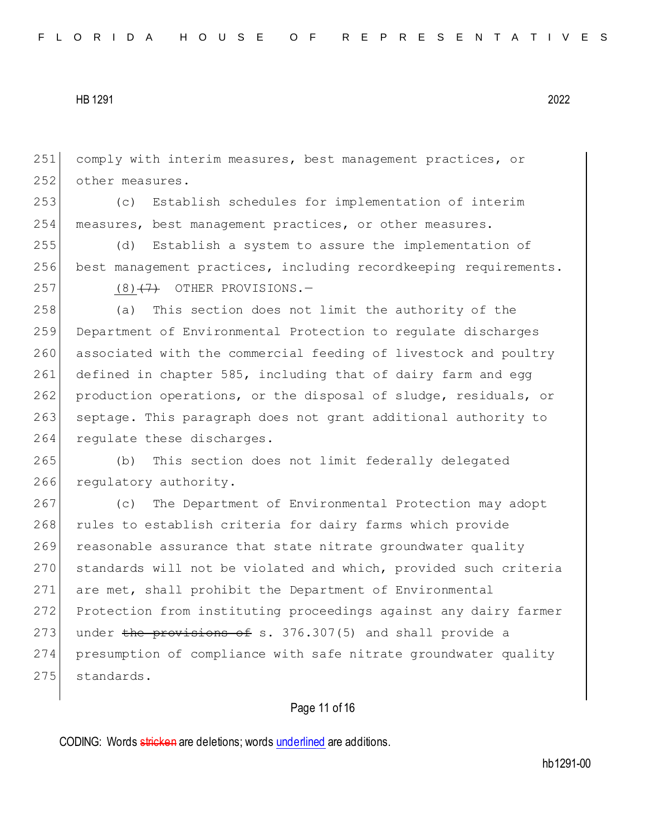251 comply with interim measures, best management practices, or 252 other measures.

253 (c) Establish schedules for implementation of interim 254 measures, best management practices, or other measures.

255 (d) Establish a system to assure the implementation of 256 best management practices, including recordkeeping requirements.

 $257$  (8)<del>(7)</del> OTHER PROVISIONS.

258 (a) This section does not limit the authority of the 259 Department of Environmental Protection to regulate discharges 260 associated with the commercial feeding of livestock and poultry 261 defined in chapter 585, including that of dairy farm and egg 262 production operations, or the disposal of sludge, residuals, or 263 septage. This paragraph does not grant additional authority to 264 regulate these discharges.

265 (b) This section does not limit federally delegated 266 regulatory authority.

267 (c) The Department of Environmental Protection may adopt 268 rules to establish criteria for dairy farms which provide 269 reasonable assurance that state nitrate groundwater quality 270 standards will not be violated and which, provided such criteria 271 are met, shall prohibit the Department of Environmental 272 Protection from instituting proceedings against any dairy farmer 273 under the provisions of s.  $376.307(5)$  and shall provide a 274 presumption of compliance with safe nitrate groundwater quality 275 standards.

# Page 11 of 16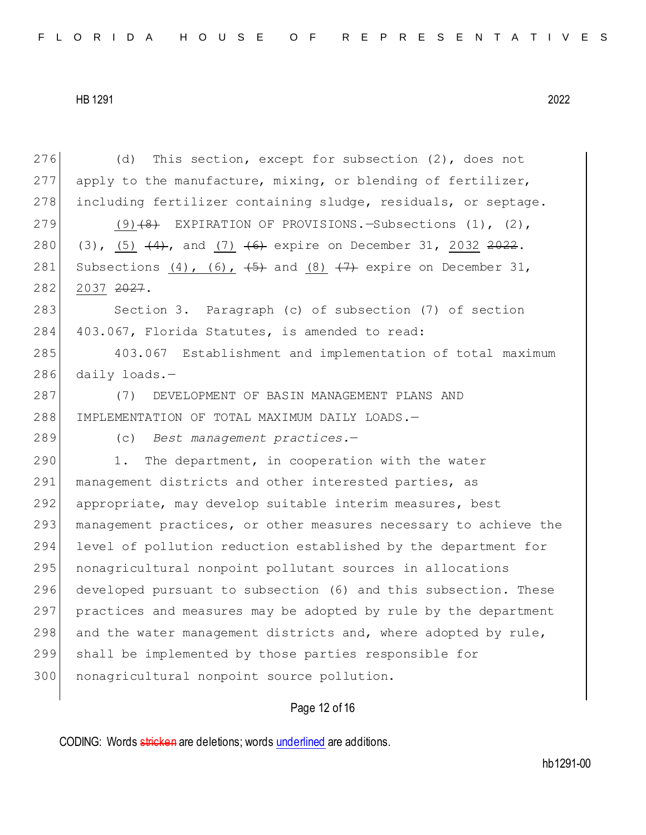|     | Page 12 of 16                                                                |
|-----|------------------------------------------------------------------------------|
| 300 | nonagricultural nonpoint source pollution.                                   |
| 299 | shall be implemented by those parties responsible for                        |
| 298 | and the water management districts and, where adopted by rule,               |
| 297 | practices and measures may be adopted by rule by the department              |
| 296 | developed pursuant to subsection (6) and this subsection. These              |
| 295 | nonagricultural nonpoint pollutant sources in allocations                    |
| 294 | level of pollution reduction established by the department for               |
| 293 | management practices, or other measures necessary to achieve the             |
| 292 | appropriate, may develop suitable interim measures, best                     |
| 291 | management districts and other interested parties, as                        |
| 290 | The department, in cooperation with the water<br>1.                          |
| 289 | (c) Best management practices.-                                              |
| 288 | IMPLEMENTATION OF TOTAL MAXIMUM DAILY LOADS.-                                |
| 287 | DEVELOPMENT OF BASIN MANAGEMENT PLANS AND<br>(7)                             |
| 286 | daily loads. $-$                                                             |
| 285 | 403.067 Establishment and implementation of total maximum                    |
| 284 | 403.067, Florida Statutes, is amended to read:                               |
| 283 | Section 3. Paragraph (c) of subsection (7) of section                        |
| 282 | 2037 2027.                                                                   |
| 281 | Subsections $(4)$ , $(6)$ , $(5)$ and $(8)$ $(7)$ expire on December 31,     |
| 280 | (3), (5) $(4)$ , and (7) $(6)$ expire on December 31, 2032 <del>2022</del> . |
| 279 | $(9)$ $(4)$ EXPIRATION OF PROVISIONS. Subsections (1), (2),                  |
| 278 | including fertilizer containing sludge, residuals, or septage.               |
| 277 | apply to the manufacture, mixing, or blending of fertilizer,                 |
| 276 | This section, except for subsection $(2)$ , does not<br>(d)                  |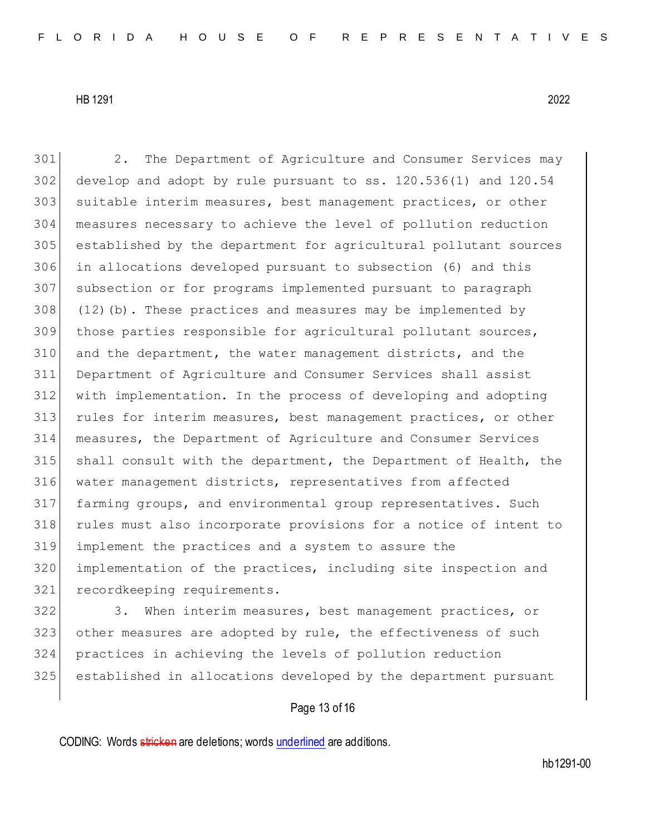2. The Department of Agriculture and Consumer Services may develop and adopt by rule pursuant to ss. 120.536(1) and 120.54 303 suitable interim measures, best management practices, or other measures necessary to achieve the level of pollution reduction established by the department for agricultural pollutant sources in allocations developed pursuant to subsection (6) and this subsection or for programs implemented pursuant to paragraph (12)(b). These practices and measures may be implemented by those parties responsible for agricultural pollutant sources, and the department, the water management districts, and the Department of Agriculture and Consumer Services shall assist with implementation. In the process of developing and adopting 313 rules for interim measures, best management practices, or other measures, the Department of Agriculture and Consumer Services shall consult with the department, the Department of Health, the water management districts, representatives from affected farming groups, and environmental group representatives. Such rules must also incorporate provisions for a notice of intent to implement the practices and a system to assure the implementation of the practices, including site inspection and recordkeeping requirements.

322 3. When interim measures, best management practices, or 323 other measures are adopted by rule, the effectiveness of such practices in achieving the levels of pollution reduction established in allocations developed by the department pursuant

## Page 13 of 16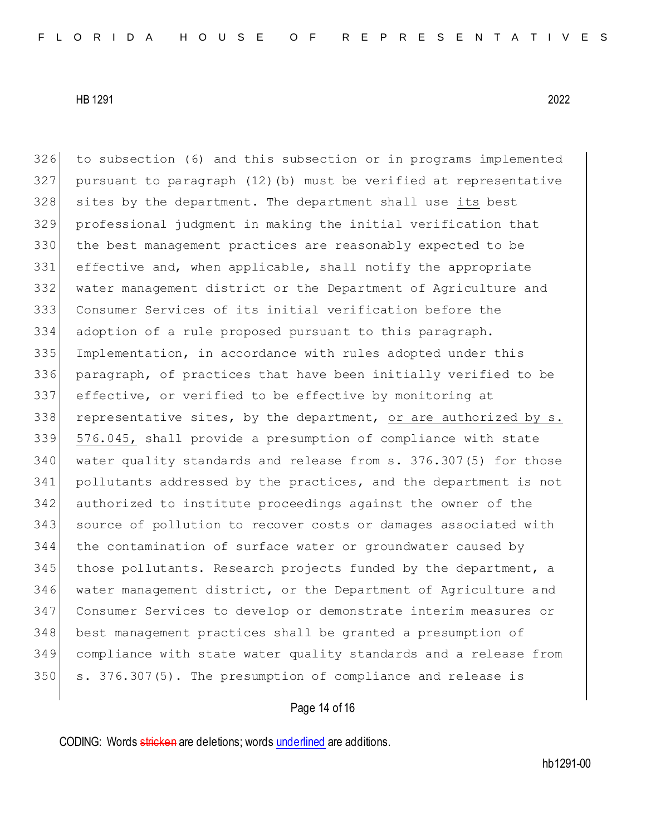to subsection (6) and this subsection or in programs implemented pursuant to paragraph (12)(b) must be verified at representative 328 sites by the department. The department shall use its best professional judgment in making the initial verification that the best management practices are reasonably expected to be 331 effective and, when applicable, shall notify the appropriate water management district or the Department of Agriculture and Consumer Services of its initial verification before the adoption of a rule proposed pursuant to this paragraph. Implementation, in accordance with rules adopted under this paragraph, of practices that have been initially verified to be effective, or verified to be effective by monitoring at 338 representative sites, by the department, or are authorized by  $s$ . 576.045, shall provide a presumption of compliance with state water quality standards and release from s. 376.307(5) for those pollutants addressed by the practices, and the department is not authorized to institute proceedings against the owner of the source of pollution to recover costs or damages associated with the contamination of surface water or groundwater caused by 345 those pollutants. Research projects funded by the department, a water management district, or the Department of Agriculture and Consumer Services to develop or demonstrate interim measures or best management practices shall be granted a presumption of compliance with state water quality standards and a release from 350 s. 376.307(5). The presumption of compliance and release is

## Page 14 of 16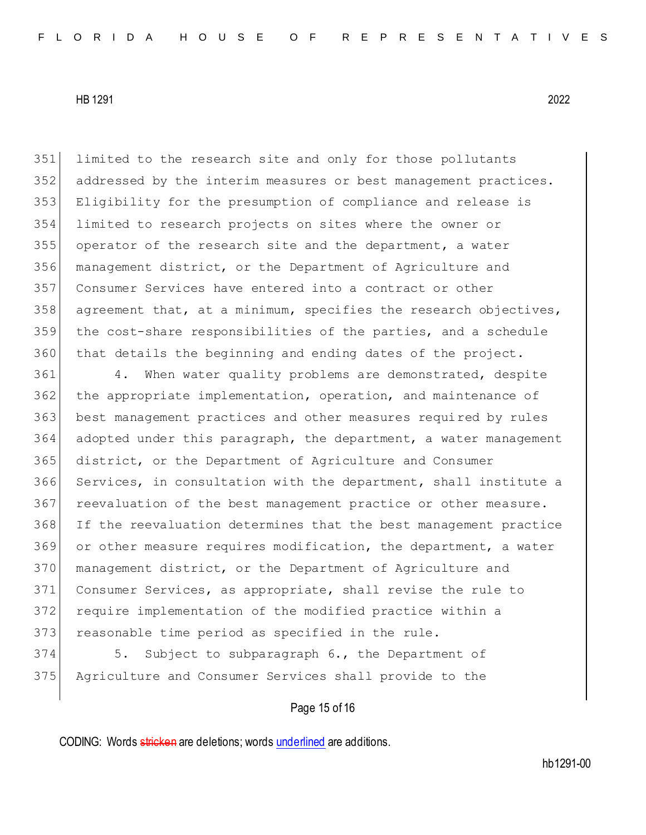limited to the research site and only for those pollutants addressed by the interim measures or best management practices. Eligibility for the presumption of compliance and release is limited to research projects on sites where the owner or operator of the research site and the department, a water management district, or the Department of Agriculture and Consumer Services have entered into a contract or other agreement that, at a minimum, specifies the research objectives, the cost-share responsibilities of the parties, and a schedule that details the beginning and ending dates of the project.

 4. When water quality problems are demonstrated, despite the appropriate implementation, operation, and maintenance of best management practices and other measures required by rules adopted under this paragraph, the department, a water management district, or the Department of Agriculture and Consumer Services, in consultation with the department, shall institute a reevaluation of the best management practice or other measure. If the reevaluation determines that the best management practice or other measure requires modification, the department, a water 370 management district, or the Department of Agriculture and Consumer Services, as appropriate, shall revise the rule to require implementation of the modified practice within a 373 reasonable time period as specified in the rule.

374 5. Subject to subparagraph 6., the Department of Agriculture and Consumer Services shall provide to the

#### Page 15 of 16